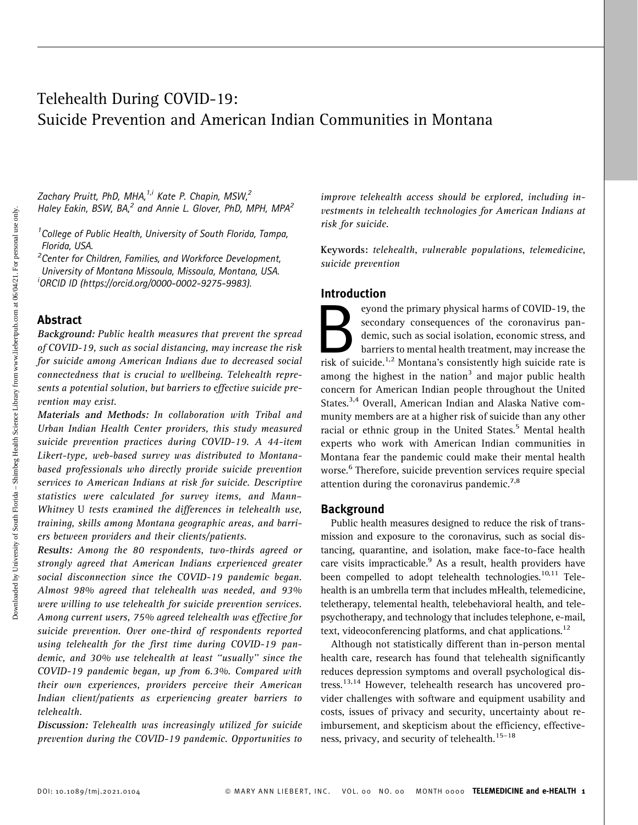# Telehealth During COVID-19: Suicide Prevention and American Indian Communities in Montana

Zachary Pruitt, PhD, MHA, $^{1,i}$  Kate P. Chapin, MSW, $^{2}$ Haley Eakin, BSW, BA,<sup>2</sup> and Annie L. Glover, PhD, MPH, MPA<sup>2</sup>

<sup>1</sup> College of Public Health, University of South Florida, Tampa, Florida, USA. <sup>2</sup>

 $2$ Center for Children, Families, and Workforce Development, University of Montana Missoula, Missoula, Montana, USA. i ORCID ID [\(https://orcid.org/0000-0002-9275-9983\)](https://orcid.org/0000-0002-9275-9983).

### Abstract

Background: Public health measures that prevent the spread of COVID-19, such as social distancing, may increase the risk for suicide among American Indians due to decreased social connectedness that is crucial to wellbeing. Telehealth represents a potential solution, but barriers to effective suicide prevention may exist.

Materials and Methods: In collaboration with Tribal and Urban Indian Health Center providers, this study measured suicide prevention practices during COVID-19. A 44-item Likert-type, web-based survey was distributed to Montanabased professionals who directly provide suicide prevention services to American Indians at risk for suicide. Descriptive statistics were calculated for survey items, and Mann– Whitney U tests examined the differences in telehealth use, training, skills among Montana geographic areas, and barriers between providers and their clients/patients.

Results: Among the 80 respondents, two-thirds agreed or strongly agreed that American Indians experienced greater social disconnection since the COVID-19 pandemic began. Almost 98% agreed that telehealth was needed, and 93% were willing to use telehealth for suicide prevention services. Among current users, 75% agreed telehealth was effective for suicide prevention. Over one-third of respondents reported using telehealth for the first time during COVID-19 pandemic, and 30% use telehealth at least ''usually'' since the COVID-19 pandemic began, up from 6.3%. Compared with their own experiences, providers perceive their American Indian client/patients as experiencing greater barriers to telehealth.

Discussion: Telehealth was increasingly utilized for suicide prevention during the COVID-19 pandemic. Opportunities to improve telehealth access should be explored, including investments in telehealth technologies for American Indians at risk for suicide.

Keywords: telehealth, vulnerable populations, telemedicine, suicide prevention

### Introduction

eyond the primary physical harms of COVID-19, the<br>secondary consequences of the coronavirus pan-<br>demic, such as social isolation, economic stress, and<br>barriers to mental health treatment, may increase the<br>risk of suicide.<sup></sup> secondary consequences of the coronavirus pandemic, such as social isolation, economic stress, and barriers to mental health treatment, may increase the among the highest in the nation<sup>3</sup> and major public health concern for American Indian people throughout the United States.<sup>3,4</sup> Overall, American Indian and Alaska Native community members are at a higher risk of suicide than any other racial or ethnic group in the United States.<sup>5</sup> Mental health experts who work with American Indian communities in Montana fear the pandemic could make their mental health worse.<sup>6</sup> Therefore, suicide prevention services require special attention during the coronavirus pandemic.<sup>7,8</sup>

### **Background**

Public health measures designed to reduce the risk of transmission and exposure to the coronavirus, such as social distancing, quarantine, and isolation, make face-to-face health care visits impracticable.<sup>9</sup> As a result, health providers have been compelled to adopt telehealth technologies.<sup>10,11</sup> Telehealth is an umbrella term that includes mHealth, telemedicine, teletherapy, telemental health, telebehavioral health, and telepsychotherapy, and technology that includes telephone, e-mail, text, videoconferencing platforms, and chat applications. $^{12}$ 

Although not statistically different than in-person mental health care, research has found that telehealth significantly reduces depression symptoms and overall psychological dis tress.<sup>13,14</sup> However, telehealth research has uncovered provider challenges with software and equipment usability and costs, issues of privacy and security, uncertainty about reimbursement, and skepticism about the efficiency, effectiveness, privacy, and security of telehealth.<sup>15-18</sup>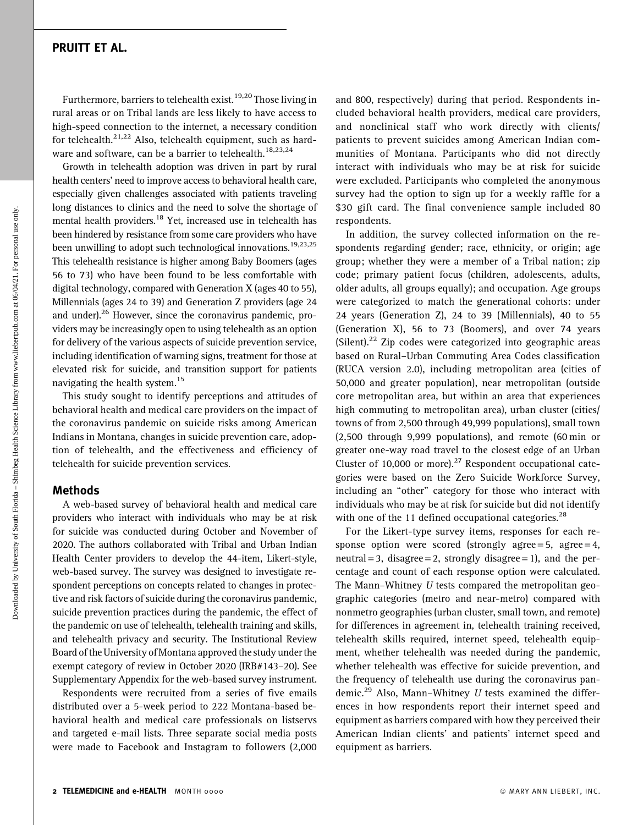Furthermore, barriers to telehealth exist.<sup>19,20</sup> Those living in rural areas or on Tribal lands are less likely to have access to high-speed connection to the internet, a necessary condition for telehealth. $2^{1,22}$  Also, telehealth equipment, such as hardware and software, can be a barrier to telehealth.<sup>18,23,24</sup>

Growth in telehealth adoption was driven in part by rural health centers' need to improve access to behavioral health care, especially given challenges associated with patients traveling long distances to clinics and the need to solve the shortage of mental health providers.<sup>18</sup> Yet, increased use in telehealth has been hindered by resistance from some care providers who have been unwilling to adopt such technological innovations.<sup>19,23,25</sup> This telehealth resistance is higher among Baby Boomers (ages 56 to 73) who have been found to be less comfortable with digital technology, compared with Generation X (ages 40 to 55), Millennials (ages 24 to 39) and Generation Z providers (age 24 and [under\).26](https://under).26) However, since the coronavirus pandemic, providers may be increasingly open to using telehealth as an option for delivery of the various aspects of suicide prevention service, including identification of warning signs, treatment for those at elevated risk for suicide, and transition support for patients navigating the health system.<sup>15</sup>

This study sought to identify perceptions and attitudes of behavioral health and medical care providers on the impact of the coronavirus pandemic on suicide risks among American Indians in Montana, changes in suicide prevention care, adoption of telehealth, and the effectiveness and efficiency of telehealth for suicide prevention services.

### Methods

A web-based survey of behavioral health and medical care providers who interact with individuals who may be at risk for suicide was conducted during October and November of 2020. The authors collaborated with Tribal and Urban Indian Health Center providers to develop the 44-item, Likert-style, web-based survey. The survey was designed to investigate respondent perceptions on concepts related to changes in protective and risk factors of suicide during the coronavirus pandemic, suicide prevention practices during the pandemic, the effect of the pandemic on use of telehealth, telehealth training and skills, and telehealth privacy and security. The Institutional Review Board of the University of Montana approved the study under the exempt category of review in October 2020 (IRB#143–20). See Supplementary Appendix for the web-based survey instrument.

Respondents were recruited from a series of five emails distributed over a 5-week period to 222 Montana-based behavioral health and medical care professionals on listservs and targeted e-mail lists. Three separate social media posts were made to Facebook and Instagram to followers (2,000

and 800, respectively) during that period. Respondents included behavioral health providers, medical care providers, and nonclinical staff who work directly with clients/ patients to prevent suicides among American Indian communities of Montana. Participants who did not directly interact with individuals who may be at risk for suicide were excluded. Participants who completed the anonymous survey had the option to sign up for a weekly raffle for a \$30 gift card. The final convenience sample included 80 respondents.

In addition, the survey collected information on the respondents regarding gender; race, ethnicity, or origin; age group; whether they were a member of a Tribal nation; zip code; primary patient focus (children, adolescents, adults, older adults, all groups equally); and occupation. Age groups were categorized to match the generational cohorts: under 24 years (Generation Z), 24 to 39 (Millennials), 40 to 55 (Generation X), 56 to 73 (Boomers), and over 74 years (Silent).<sup>22</sup> Zip codes were categorized into geographic areas based on Rural–Urban Commuting Area Codes classification (RUCA version 2.0), including metropolitan area (cities of 50,000 and greater population), near metropolitan (outside core metropolitan area, but within an area that experiences high commuting to metropolitan area), urban cluster (cities/ towns of from 2,500 through 49,999 populations), small town (2,500 through 9,999 populations), and remote (60 min or greater one-way road travel to the closest edge of an Urban Cluster of 10,000 or [more\).](https://more).27) $27$  Respondent occupational categories were based on the Zero Suicide Workforce Survey, including an ''other'' category for those who interact with individuals who may be at risk for suicide but did not identify with one of the 11 defined occupational categories. $^{28}$ 

For the Likert-type survey items, responses for each response option were scored (strongly agree = 5, agree = 4, neutral = 3, disagree = 2, strongly disagree = 1), and the percentage and count of each response option were calculated. The Mann–Whitney U tests compared the metropolitan geographic categories (metro and near-metro) compared with nonmetro geographies (urban cluster, small town, and remote) for differences in agreement in, telehealth training received, telehealth skills required, internet speed, telehealth equipment, whether telehealth was needed during the pandemic, whether telehealth was effective for suicide prevention, and the frequency of telehealth use during the coronavirus pan[demic.](https://demic.29)<sup>29</sup> Also, Mann-Whitney  $U$  tests examined the differences in how respondents report their internet speed and equipment as barriers compared with how they perceived their American Indian clients' and patients' internet speed and equipment as barriers.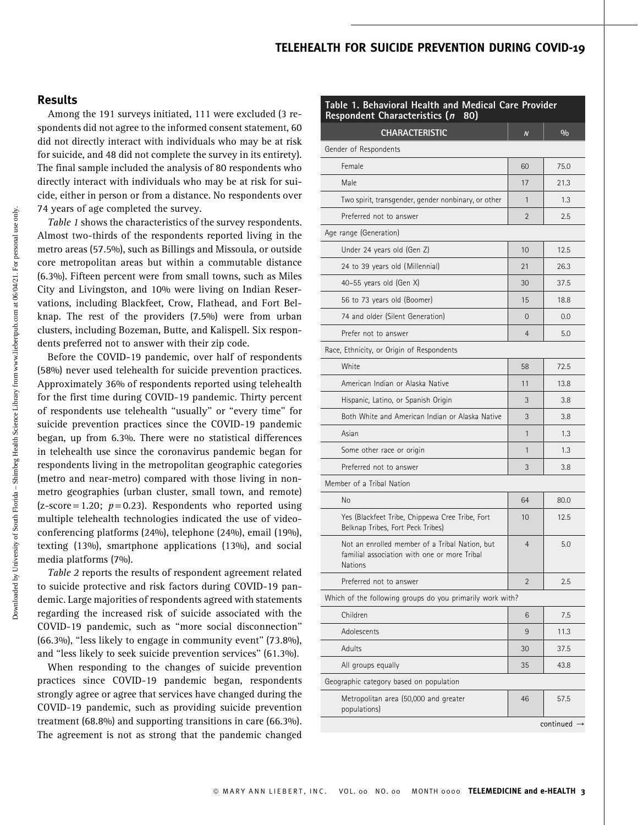### TELEHEALTH FOR SUICIDE PREVENTION DURING COVID-19

### Results

Among the 191 surveys initiated, 111 were excluded (3 respondents did not agree to the informed consent statement, 60 did not directly interact with individuals who may be at risk for suicide, and 48 did not complete the survey in its entirety). The final sample included the analysis of 80 respondents who directly interact with individuals who may be at risk for suicide, either in person or from a distance. No respondents over 74 years of age completed the survey.

Table 1 shows the characteristics of the survey respondents. Almost two-thirds of the respondents reported living in the metro areas (57.5%), such as Billings and Missoula, or outside core metropolitan areas but within a commutable distance (6.3%). Fifteen percent were from small towns, such as Miles City and Livingston, and 10% were living on Indian Reservations, including Blackfeet, Crow, Flathead, and Fort Belknap. The rest of the providers (7.5%) were from urban clusters, including Bozeman, Butte, and Kalispell. Six respondents preferred not to answer with their zip code.

Before the COVID-19 pandemic, over half of respondents (58%) never used telehealth for suicide prevention practices. Approximately 36% of respondents reported using telehealth for the first time during COVID-19 pandemic. Thirty percent of respondents use telehealth ''usually'' or ''every time'' for suicide prevention practices since the COVID-19 pandemic began, up from 6.3%. There were no statistical differences in telehealth use since the coronavirus pandemic began for respondents living in the metropolitan geographic categories (metro and near-metro) compared with those living in nonmetro geographies (urban cluster, small town, and remote)  $(z-score = 1.20; p = 0.23)$ . Respondents who reported using multiple telehealth technologies indicated the use of videoconferencing platforms (24%), telephone (24%), email (19%), texting (13%), smartphone applications (13%), and social media platforms (7%).

Table 2 reports the results of respondent agreement related to suicide protective and risk factors during COVID-19 pandemic. Large majorities of respondents agreed with statements regarding the increased risk of suicide associated with the COVID-19 pandemic, such as ''more social disconnection'' (66.3%), ''less likely to engage in community event'' (73.8%), and ''less likely to seek suicide prevention services'' (61.3%).

When responding to the changes of suicide prevention practices since COVID-19 pandemic began, respondents strongly agree or agree that services have changed during the COVID-19 pandemic, such as providing suicide prevention treatment (68.8%) and supporting transitions in care (66.3%). The agreement is not as strong that the pandemic changed

| Table 1. Behavioral Health and Medical Care Provider<br><b>Respondent Characteristics (n</b><br>80)       |                  |               |  |  |  |  |  |
|-----------------------------------------------------------------------------------------------------------|------------------|---------------|--|--|--|--|--|
| <b>CHARACTERISTIC</b>                                                                                     | $\boldsymbol{N}$ | $\frac{0}{0}$ |  |  |  |  |  |
| Gender of Respondents                                                                                     |                  |               |  |  |  |  |  |
| Female                                                                                                    | 60               | 75.0          |  |  |  |  |  |
| Male                                                                                                      | 17               | 21.3          |  |  |  |  |  |
| Two spirit, transgender, gender nonbinary, or other                                                       | 1                | 1.3           |  |  |  |  |  |
| Preferred not to answer                                                                                   | $\overline{2}$   | 2.5           |  |  |  |  |  |
| Age range (Generation)                                                                                    |                  |               |  |  |  |  |  |
| Under 24 years old (Gen Z)                                                                                | 10               | 12.5          |  |  |  |  |  |
| 24 to 39 years old (Millennial)                                                                           | 21               | 26.3          |  |  |  |  |  |
| 40-55 years old (Gen $X$ )                                                                                | 30               | 37.5          |  |  |  |  |  |
| 56 to 73 years old (Boomer)                                                                               | 15               | 18.8          |  |  |  |  |  |
| 74 and older (Silent Generation)                                                                          | 0                | 0.0           |  |  |  |  |  |
| Prefer not to answer                                                                                      | 4                | 5.0           |  |  |  |  |  |
| Race, Ethnicity, or Origin of Respondents                                                                 |                  |               |  |  |  |  |  |
| White                                                                                                     | 58               | 72.5          |  |  |  |  |  |
| American Indian or Alaska Native                                                                          | 11               | 13.8          |  |  |  |  |  |
| Hispanic, Latino, or Spanish Origin                                                                       | 3                | 3.8           |  |  |  |  |  |
| Both White and American Indian or Alaska Native                                                           | 3                | 3.8           |  |  |  |  |  |
| Asian                                                                                                     | $\mathbf{1}$     | 1.3           |  |  |  |  |  |
| Some other race or origin                                                                                 | 1                | 1.3           |  |  |  |  |  |
| Preferred not to answer                                                                                   | 3                | 3.8           |  |  |  |  |  |
| Member of a Tribal Nation                                                                                 |                  |               |  |  |  |  |  |
| No                                                                                                        | 64               | 80.0          |  |  |  |  |  |
| Yes (Blackfeet Tribe, Chippewa Cree Tribe, Fort<br>Belknap Tribes, Fort Peck Tribes)                      | 10               | 12.5          |  |  |  |  |  |
| Not an enrolled member of a Tribal Nation, but<br>familial association with one or more Tribal<br>Nations | $\overline{4}$   | 5.0           |  |  |  |  |  |
| Preferred not to answer                                                                                   | $\overline{2}$   | 2.5           |  |  |  |  |  |
| Which of the following groups do you primarily work with?                                                 |                  |               |  |  |  |  |  |
| Children                                                                                                  | 6                | 7.5           |  |  |  |  |  |
| Adolescents                                                                                               | 9                | 11.3          |  |  |  |  |  |
| Adults                                                                                                    | 30               | 37.5          |  |  |  |  |  |
| All groups equally                                                                                        | 35               | 43.8          |  |  |  |  |  |
| Geographic category based on population                                                                   |                  |               |  |  |  |  |  |
| Metropolitan area (50,000 and greater<br>populations)                                                     | 46               | 57.5          |  |  |  |  |  |
|                                                                                                           |                  | continued     |  |  |  |  |  |

Downloaded by University of South Florida – Shimbeg Health Science Library from www.liebertpub.com at 06/04/21. For personal use only.

Downloaded by University of South Florida – Shimbeg Health Science Library from www.liebertpub.com at 06/04/21. For personal use only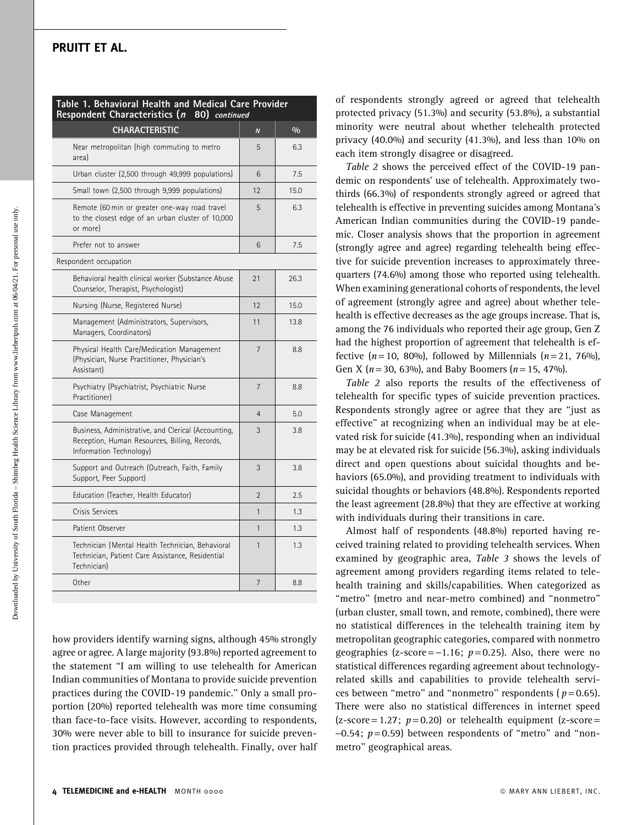| Table 1. Behavioral Health and Medical Care Provider<br>Respondent Characteristics (n 80) continued                             |                |               |  |  |  |  |  |  |
|---------------------------------------------------------------------------------------------------------------------------------|----------------|---------------|--|--|--|--|--|--|
| CHARACTERISTIC                                                                                                                  | $\overline{N}$ | $\frac{0}{0}$ |  |  |  |  |  |  |
| Near metropolitan (high commuting to metro<br>area)                                                                             | 5              | 6.3           |  |  |  |  |  |  |
| Urban cluster (2,500 through 49,999 populations)                                                                                | 6              | 7.5           |  |  |  |  |  |  |
| Small town (2,500 through 9,999 populations)                                                                                    | 12             | 15.0          |  |  |  |  |  |  |
| Remote (60 min or greater one-way road travel<br>to the closest edge of an urban cluster of 10,000<br>or more)                  | 5              | 6.3           |  |  |  |  |  |  |
| Prefer not to answer                                                                                                            | 6              | 7.5           |  |  |  |  |  |  |
| Respondent occupation                                                                                                           |                |               |  |  |  |  |  |  |
| Behavioral health clinical worker (Substance Abuse<br>Counselor, Therapist, Psychologist)                                       | 21             | 26.3          |  |  |  |  |  |  |
| Nursing (Nurse, Registered Nurse)                                                                                               | 12             | 15.0          |  |  |  |  |  |  |
| Management (Administrators, Supervisors,<br>Managers, Coordinators)                                                             | 11             | 13.8          |  |  |  |  |  |  |
| Physical Health Care/Medication Management<br>(Physician, Nurse Practitioner, Physician's<br>Assistant)                         | $\overline{7}$ | 8.8           |  |  |  |  |  |  |
| Psychiatry (Psychiatrist, Psychiatric Nurse<br><b>Practitionerl</b>                                                             | $\overline{7}$ | 8.8           |  |  |  |  |  |  |
| Case Management                                                                                                                 | $\overline{4}$ | 5.0           |  |  |  |  |  |  |
| Business, Administrative, and Clerical (Accounting,<br>Reception, Human Resources, Billing, Records,<br>Information Technology) | 3              | 3.8           |  |  |  |  |  |  |
| Support and Outreach (Outreach, Faith, Family<br>Support, Peer Support)                                                         | 3              | 3.8           |  |  |  |  |  |  |
| Education (Teacher, Health Educator)                                                                                            | $\overline{2}$ | 2.5           |  |  |  |  |  |  |
| Crisis Services                                                                                                                 | $\mathbf{1}$   | 1.3           |  |  |  |  |  |  |
| Patient Observer                                                                                                                | $\mathbf{1}$   | 1.3           |  |  |  |  |  |  |
| Technician (Mental Health Technician, Behavioral<br>Technician, Patient Care Assistance, Residential<br>Technician)             | $\mathbf{1}$   | 1.3           |  |  |  |  |  |  |
| Other                                                                                                                           | $\overline{7}$ | 8.8           |  |  |  |  |  |  |
|                                                                                                                                 |                |               |  |  |  |  |  |  |

how providers identify warning signs, although 45% strongly agree or agree. A large majority (93.8%) reported agreement to the statement ''I am willing to use telehealth for American Indian communities of Montana to provide suicide prevention practices during the COVID-19 pandemic.'' Only a small proportion (20%) reported telehealth was more time consuming than face-to-face visits. However, according to respondents, 30% were never able to bill to insurance for suicide prevention practices provided through telehealth. Finally, over half

of respondents strongly agreed or agreed that telehealth protected privacy (51.3%) and security (53.8%), a substantial minority were neutral about whether telehealth protected privacy (40.0%) and security (41.3%), and less than 10% on each item strongly disagree or disagreed.

Table 2 shows the perceived effect of the COVID-19 pandemic on respondents' use of telehealth. Approximately twothirds (66.3%) of respondents strongly agreed or agreed that telehealth is effective in preventing suicides among Montana's American Indian communities during the COVID-19 pandemic. Closer analysis shows that the proportion in agreement (strongly agree and agree) regarding telehealth being effective for suicide prevention increases to approximately threequarters (74.6%) among those who reported using telehealth. When examining generational cohorts of respondents, the level of agreement (strongly agree and agree) about whether telehealth is effective decreases as the age groups increase. That is, among the 76 individuals who reported their age group, Gen Z had the highest proportion of agreement that telehealth is effective  $(n = 10, 80\%)$ , followed by Millennials  $(n = 21, 76\%)$ , Gen X ( $n = 30$ , 63%), and Baby Boomers ( $n = 15$ , 47%).

Table 2 also reports the results of the effectiveness of telehealth for specific types of suicide prevention practices. Respondents strongly agree or agree that they are ''just as effective'' at recognizing when an individual may be at elevated risk for suicide (41.3%), responding when an individual may be at elevated risk for suicide (56.3%), asking individuals direct and open questions about suicidal thoughts and behaviors (65.0%), and providing treatment to individuals with suicidal thoughts or behaviors (48.8%). Respondents reported the least agreement (28.8%) that they are effective at working with individuals during their transitions in care.

Almost half of respondents (48.8%) reported having received training related to providing telehealth services. When examined by geographic area, Table 3 shows the levels of agreement among providers regarding items related to telehealth training and skills/capabilities. When categorized as ''metro'' (metro and near-metro combined) and ''nonmetro'' (urban cluster, small town, and remote, combined), there were no statistical differences in the telehealth training item by metropolitan geographic categories, compared with nonmetro geographies (z-score  $=-1.16$ ;  $p=0.25$ ). Also, there were no statistical differences regarding agreement about technologyrelated skills and capabilities to provide telehealth services between "metro" and "nonmetro" respondents ( $p=0.65$ ). There were also no statistical differences in internet speed  $(z\text{-score} = 1.27; p = 0.20)$  or telehealth equipment  $(z\text{-score} = 1.27; p = 0.20)$  $-0.54$ ;  $p = 0.59$ ) between respondents of "metro" and "nonmetro'' geographical areas.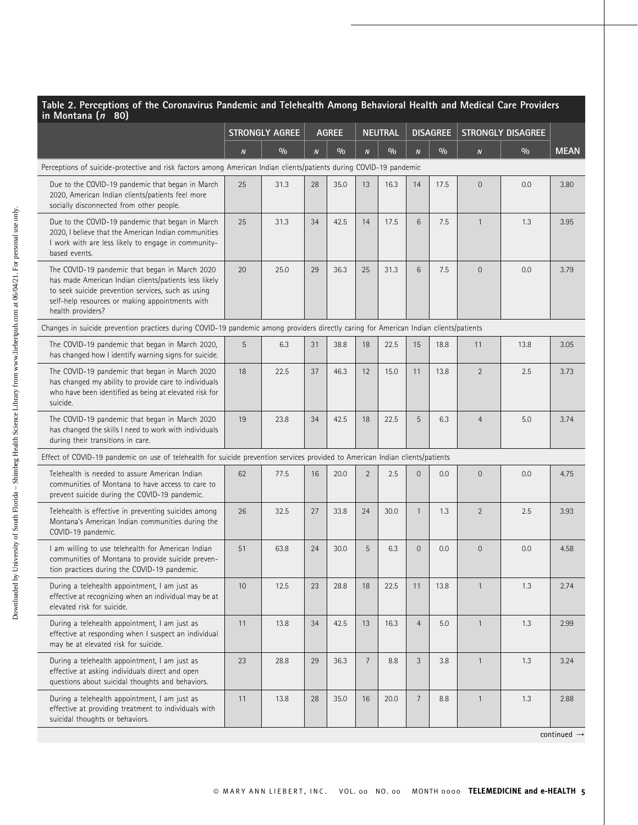| Table 2. Perceptions of the Coronavirus Pandemic and Telehealth Among Behavioral Health and Medical Care Providers<br>in Montana (n 80)                                                                                               |                       |      |                  |               |                  |                |                  |      |                          |      |             |
|---------------------------------------------------------------------------------------------------------------------------------------------------------------------------------------------------------------------------------------|-----------------------|------|------------------|---------------|------------------|----------------|------------------|------|--------------------------|------|-------------|
|                                                                                                                                                                                                                                       | <b>STRONGLY AGREE</b> |      |                  | <b>AGREE</b>  |                  | <b>NEUTRAL</b> | <b>DISAGREE</b>  |      | <b>STRONGLY DISAGREE</b> |      |             |
|                                                                                                                                                                                                                                       | $\boldsymbol{N}$      | 0/0  | $\boldsymbol{N}$ | $\frac{0}{0}$ | $\boldsymbol{N}$ | $\frac{0}{0}$  | $\boldsymbol{N}$ | 0/0  | $\boldsymbol{N}$         | 0/0  | <b>MEAN</b> |
| Perceptions of suicide-protective and risk factors among American Indian clients/patients during COVID-19 pandemic                                                                                                                    |                       |      |                  |               |                  |                |                  |      |                          |      |             |
| Due to the COVID-19 pandemic that began in March<br>2020, American Indian clients/patients feel more<br>socially disconnected from other people.                                                                                      | 25                    | 31.3 | 28               | 35.0          | 13               | 16.3           | 14               | 17.5 | $\mathbf 0$              | 0.0  | 3.80        |
| Due to the COVID-19 pandemic that began in March<br>2020, I believe that the American Indian communities<br>I work with are less likely to engage in community-<br>based events.                                                      | 25                    | 31.3 | 34               | 42.5          | 14               | 17.5           | 6                | 7.5  | $\mathbf{1}$             | 1.3  | 3.95        |
| The COVID-19 pandemic that began in March 2020<br>has made American Indian clients/patients less likely<br>to seek suicide prevention services, such as using<br>self-help resources or making appointments with<br>health providers? | 20                    | 25.0 | 29               | 36.3          | 25               | 31.3           | 6                | 7.5  | $\mathbf 0$              | 0.0  | 3.79        |
| Changes in suicide prevention practices during COVID-19 pandemic among providers directly caring for American Indian clients/patients                                                                                                 |                       |      |                  |               |                  |                |                  |      |                          |      |             |
| The COVID-19 pandemic that began in March 2020,<br>has changed how I identify warning signs for suicide.                                                                                                                              | 5                     | 6.3  | 31               | 38.8          | 18               | 22.5           | 15               | 18.8 | 11                       | 13.8 | 3.05        |
| The COVID-19 pandemic that began in March 2020<br>has changed my ability to provide care to individuals<br>who have been identified as being at elevated risk for<br>suicide.                                                         | 18                    | 22.5 | 37               | 46.3          | 12               | 15.0           | 11               | 13.8 | $\overline{2}$           | 2.5  | 3.73        |
| The COVID-19 pandemic that began in March 2020<br>has changed the skills I need to work with individuals<br>during their transitions in care.                                                                                         | 19                    | 23.8 | 34               | 42.5          | 18               | 22.5           | 5                | 6.3  | $\overline{4}$           | 5.0  | 3.74        |
| Effect of COVID-19 pandemic on use of telehealth for suicide prevention services provided to American Indian clients/patients                                                                                                         |                       |      |                  |               |                  |                |                  |      |                          |      |             |
| Telehealth is needed to assure American Indian<br>communities of Montana to have access to care to<br>prevent suicide during the COVID-19 pandemic.                                                                                   | 62                    | 77.5 | 16               | 20.0          | $\overline{2}$   | 2.5            | $\Omega$         | 0.0  | $\mathbf 0$              | 0.0  | 4.75        |
| Telehealth is effective in preventing suicides among<br>Montana's American Indian communities during the<br>COVID-19 pandemic.                                                                                                        | 26                    | 32.5 | 27               | 33.8          | 24               | 30.0           | $\mathbf{1}$     | 1.3  | $\overline{2}$           | 2.5  | 3.93        |
| I am willing to use telehealth for American Indian<br>communities of Montana to provide suicide preven-<br>tion practices during the COVID-19 pandemic.                                                                               | 51                    | 63.8 | 24               | 30.0          | 5                | 6.3            | $\overline{0}$   | 0.0  | $\mathbf{0}$             | 0.0  | 4.58        |
| During a telehealth appointment, I am just as<br>effective at recognizing when an individual may be at<br>elevated risk for suicide.                                                                                                  | 10                    | 12.5 | 23               | 28.8          | 18               | 22.5           | 11               | 13.8 | $\overline{1}$           | 1.3  | 2.74        |
| During a telehealth appointment, I am just as<br>effective at responding when I suspect an individual<br>may be at elevated risk for suicide.                                                                                         | 11                    | 13.8 | 34               | 42.5          | 13               | 16.3           | 4                | 5.0  | $\mathbf{1}$             | 1.3  | 2.99        |
| During a telehealth appointment, I am just as<br>effective at asking individuals direct and open<br>questions about suicidal thoughts and behaviors.                                                                                  | 23                    | 28.8 | 29               | 36.3          | $\overline{7}$   | 8.8            | 3                | 3.8  | $\mathbf{1}$             | 1.3  | 3.24        |
| During a telehealth appointment, I am just as<br>effective at providing treatment to individuals with<br>suicidal thoughts or behaviors.                                                                                              | 11                    | 13.8 | 28               | 35.0          | 16               | 20.0           | $\overline{7}$   | 8.8  | $\mathbf{1}$             | 1.3  | 2.88        |

continued  $\rightarrow$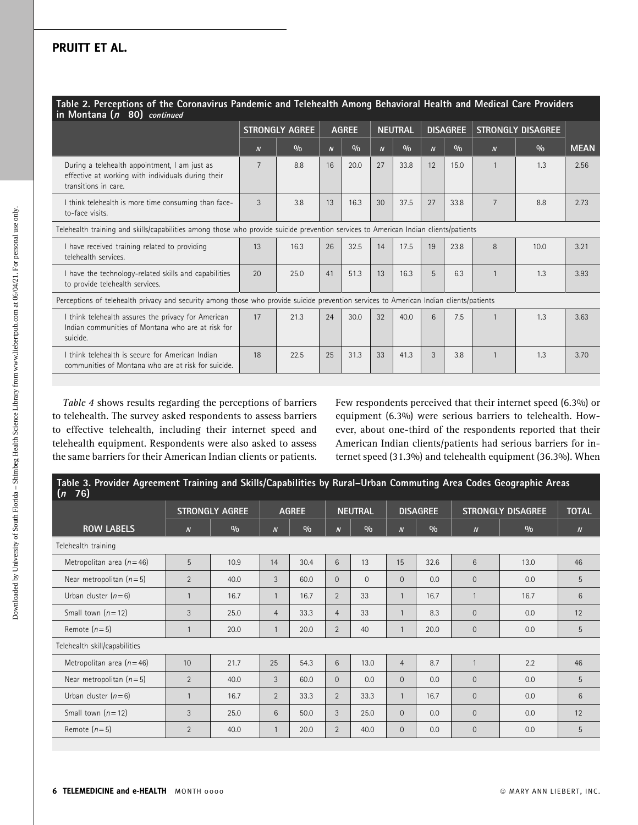| Table 2. Perceptions of the Coronavirus Pandemic and Telehealth Among Behavioral Health and Medical Care Providers<br>in Montana (n 80) continued |                       |      |                  |      |                  |      |                  |      |                          |      |             |
|---------------------------------------------------------------------------------------------------------------------------------------------------|-----------------------|------|------------------|------|------------------|------|------------------|------|--------------------------|------|-------------|
|                                                                                                                                                   | <b>STRONGLY AGREE</b> |      | <b>AGREE</b>     |      | <b>NEUTRAL</b>   |      | <b>DISAGREE</b>  |      | <b>STRONGLY DISAGREE</b> |      |             |
|                                                                                                                                                   | $\boldsymbol{N}$      | 0/0  | $\boldsymbol{N}$ | 0/0  | $\boldsymbol{N}$ | 0/0  | $\boldsymbol{N}$ | 0/0  | $\boldsymbol{N}$         | 0/0  | <b>MEAN</b> |
| During a telehealth appointment, I am just as<br>effective at working with individuals during their<br>transitions in care.                       | $\overline{7}$        | 8.8  | 16               | 20.0 | 27               | 33.8 | 12               | 15.0 | $\mathbf{1}$             | 1.3  | 2.56        |
| I think telehealth is more time consuming than face-<br>to-face visits.                                                                           | 3                     | 3.8  | 13               | 16.3 | 30               | 37.5 | 27               | 33.8 | $\overline{7}$           | 8.8  | 2.73        |
| Telehealth training and skills/capabilities among those who provide suicide prevention services to American Indian clients/patients               |                       |      |                  |      |                  |      |                  |      |                          |      |             |
| I have received training related to providing<br>telehealth services.                                                                             | 13                    | 16.3 | 26               | 32.5 | 14               | 17.5 | 19               | 23.8 | 8                        | 10.0 | 3.21        |
| I have the technology-related skills and capabilities<br>to provide telehealth services.                                                          | 20                    | 25.0 | 41               | 51.3 | 13               | 16.3 | 5                | 6.3  |                          | 1.3  | 3.93        |
| Perceptions of telehealth privacy and security among those who provide suicide prevention services to American Indian clients/patients            |                       |      |                  |      |                  |      |                  |      |                          |      |             |
| I think telehealth assures the privacy for American<br>Indian communities of Montana who are at risk for<br>suicide.                              | 17                    | 21.3 | 24               | 30.0 | 32               | 40.0 | 6                | 7.5  |                          | 1.3  | 3.63        |
| I think telehealth is secure for American Indian<br>communities of Montana who are at risk for suicide.                                           | 18                    | 22.5 | 25               | 31.3 | 33               | 41.3 | 3                | 3.8  |                          | 1.3  | 3.70        |

Table 4 shows results regarding the perceptions of barriers to telehealth. The survey asked respondents to assess barriers to effective telehealth, including their internet speed and telehealth equipment. Respondents were also asked to assess the same barriers for their American Indian clients or patients.

Few respondents perceived that their internet speed (6.3%) or equipment (6.3%) were serious barriers to telehealth. However, about one-third of the respondents reported that their American Indian clients/patients had serious barriers for internet speed (31.3%) and telehealth equipment (36.3%). When

| Table 3. Provider Agreement Training and Skills/Capabilities by Rural-Urban Commuting Area Codes Geographic Areas<br>76)<br>(n) |                  |                       |                  |              |                |                |                  |                 |                  |                          |                  |  |
|---------------------------------------------------------------------------------------------------------------------------------|------------------|-----------------------|------------------|--------------|----------------|----------------|------------------|-----------------|------------------|--------------------------|------------------|--|
|                                                                                                                                 |                  | <b>STRONGLY AGREE</b> |                  | <b>AGREE</b> |                | <b>NEUTRAL</b> |                  | <b>DISAGREE</b> |                  | <b>STRONGLY DISAGREE</b> | <b>TOTAL</b>     |  |
| <b>ROW LABELS</b>                                                                                                               | $\boldsymbol{N}$ | 0/0                   | $\boldsymbol{N}$ | 0/0          | $\overline{N}$ | 0/0            | $\boldsymbol{N}$ | $\frac{0}{0}$   | $\boldsymbol{N}$ | 0/0                      | $\boldsymbol{N}$ |  |
| Telehealth training                                                                                                             |                  |                       |                  |              |                |                |                  |                 |                  |                          |                  |  |
| Metropolitan area $(n=46)$                                                                                                      | 5                | 10.9                  | 14               | 30.4         | 6              | 13             | 15               | 32.6            | 6                | 13.0                     | 46               |  |
| Near metropolitan $(n=5)$                                                                                                       | $\overline{2}$   | 40.0                  | 3                | 60.0         | $\Omega$       | $\Omega$       | $\Omega$         | 0.0             | $\Omega$         | 0.0                      | 5                |  |
| Urban cluster $(n=6)$                                                                                                           | $\overline{1}$   | 16.7                  | $\mathbf{1}$     | 16.7         | $\overline{2}$ | 33             | $\mathbf{1}$     | 16.7            | $\mathbf{1}$     | 16.7                     | 6                |  |
| Small town $(n=12)$                                                                                                             | 3                | 25.0                  | $\overline{4}$   | 33.3         | $\overline{4}$ | 33             | $\mathbf{1}$     | 8.3             | $\overline{0}$   | 0.0                      | 12               |  |
| Remote $(n=5)$                                                                                                                  | $\mathbf{1}$     | 20.0                  | $\mathbf{1}$     | 20.0         | $\overline{2}$ | 40             |                  | 20.0            | $\mathbf 0$      | 0.0                      | 5                |  |
| Telehealth skill/capabilities                                                                                                   |                  |                       |                  |              |                |                |                  |                 |                  |                          |                  |  |
| Metropolitan area $(n=46)$                                                                                                      | 10               | 21.7                  | 25               | 54.3         | 6              | 13.0           | $\overline{4}$   | 8.7             | $\mathbf{1}$     | 2.2                      | 46               |  |
| Near metropolitan $(n=5)$                                                                                                       | 2                | 40.0                  | 3                | 60.0         | $\Omega$       | 0.0            | $\Omega$         | 0.0             | $\overline{0}$   | 0.0                      | 5                |  |
| Urban cluster $(n=6)$                                                                                                           | $\mathbf{1}$     | 16.7                  | $\overline{2}$   | 33.3         | $\overline{2}$ | 33.3           | $\mathbf{1}$     | 16.7            | $\Omega$         | 0.0                      | 6                |  |
| Small town $(n=12)$                                                                                                             | 3                | 25.0                  | 6                | 50.0         | 3              | 25.0           | $\Omega$         | 0.0             | $\overline{0}$   | 0.0                      | 12               |  |
| Remote $(n=5)$                                                                                                                  | $\overline{2}$   | 40.0                  | $\mathbf{1}$     | 20.0         | $\overline{2}$ | 40.0           | $\Omega$         | 0.0             | $\overline{0}$   | 0.0                      | 5                |  |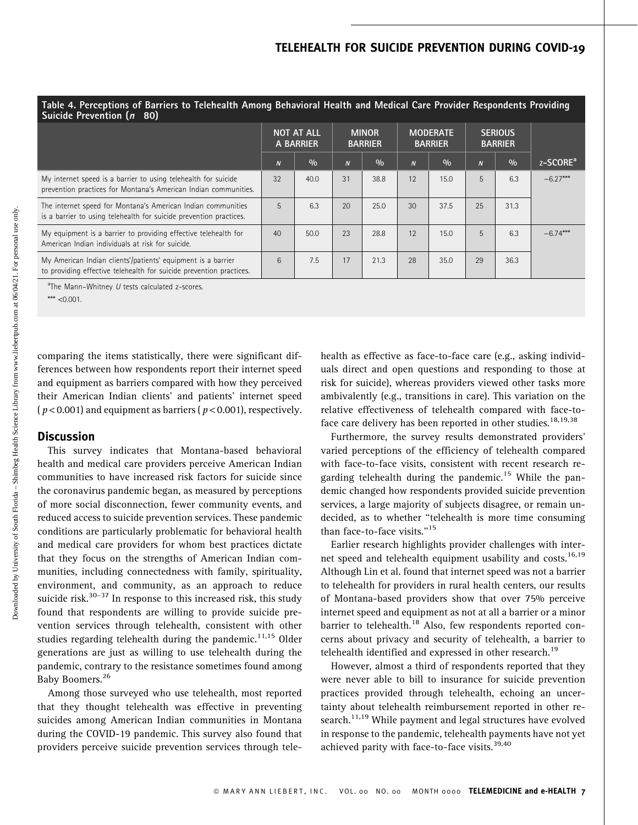### TELEHEALTH FOR SUICIDE PREVENTION DURING COVID-19

| Ē                                    |
|--------------------------------------|
|                                      |
| ł                                    |
|                                      |
|                                      |
| Ì                                    |
|                                      |
| $\overline{\phantom{a}}$             |
| ļ<br>í                               |
|                                      |
| ļ                                    |
| I                                    |
|                                      |
|                                      |
|                                      |
|                                      |
| i                                    |
| i                                    |
| į                                    |
|                                      |
|                                      |
|                                      |
| ł                                    |
|                                      |
|                                      |
|                                      |
|                                      |
|                                      |
|                                      |
|                                      |
|                                      |
|                                      |
|                                      |
|                                      |
|                                      |
| ś                                    |
| ţ                                    |
|                                      |
| ļ                                    |
|                                      |
|                                      |
|                                      |
| ֦                                    |
|                                      |
| $\overline{a}$                       |
| $\overline{\phantom{a}}$             |
| i<br>١                               |
| J                                    |
| l                                    |
|                                      |
|                                      |
| j                                    |
|                                      |
|                                      |
|                                      |
| ļ                                    |
|                                      |
|                                      |
|                                      |
|                                      |
| ;                                    |
|                                      |
| ï                                    |
| $\frac{1}{2}$<br>j                   |
| $\frac{1}{2}$                        |
|                                      |
|                                      |
| l                                    |
| j<br>Í                               |
|                                      |
| lown.<br>$\frac{1}{2}$<br>$\sqrt{2}$ |

| Suicide Prevention (n 80)                                                                                                           |                                |      |                                |      |                                   |      |                                  |      |                      |
|-------------------------------------------------------------------------------------------------------------------------------------|--------------------------------|------|--------------------------------|------|-----------------------------------|------|----------------------------------|------|----------------------|
|                                                                                                                                     | <b>NOT AT ALL</b><br>A BARRIER |      | <b>MINOR</b><br><b>BARRIER</b> |      | <b>MODERATE</b><br><b>BARRIER</b> |      | <b>SERIOUS</b><br><b>BARRIER</b> |      |                      |
|                                                                                                                                     | $\overline{N}$                 | 0/0  | $\boldsymbol{N}$               | 0/0  | $\overline{N}$                    | 0/0  | $\overline{N}$                   | 0/0  | z-SCORE <sup>a</sup> |
| My internet speed is a barrier to using telehealth for suicide<br>prevention practices for Montana's American Indian communities.   | 32                             | 40.0 | 31                             | 38.8 | 12                                | 15.0 | 5                                | 6.3  | $-6.27***$           |
| The internet speed for Montana's American Indian communities<br>is a barrier to using telehealth for suicide prevention practices.  | 5                              | 6.3  | 20                             | 25.0 | 30                                | 37.5 | 25                               | 31.3 |                      |
| My equipment is a barrier to providing effective telehealth for<br>American Indian individuals at risk for suicide.                 | 40                             | 50.0 | 23                             | 28.8 | 12                                | 15.0 | 5                                | 6.3  | $-6.74***$           |
| My American Indian clients'/patients' equipment is a barrier<br>to providing effective telehealth for suicide prevention practices. | 6                              | 7.5  | 17                             | 21.3 | 28                                | 35.0 | 29                               | 36.3 |                      |

Table 4. Perceptions of Barriers to Telehealth Among Behavioral Health and Medical Care Provider Respondents Providing

<sup>a</sup>The Mann-Whitney U tests calculated z-scores.

\*\*\*  $<$  0.001.

comparing the items statistically, there were significant differences between how respondents report their internet speed and equipment as barriers compared with how they perceived their American Indian clients' and patients' internet speed ( $p$  < 0.001) and equipment as barriers ( $p$  < 0.001), respectively.

### **Discussion**

This survey indicates that Montana-based behavioral health and medical care providers perceive American Indian communities to have increased risk factors for suicide since the coronavirus pandemic began, as measured by perceptions of more social disconnection, fewer community events, and reduced access to suicide prevention services. These pandemic conditions are particularly problematic for behavioral health and medical care providers for whom best practices dictate that they focus on the strengths of American Indian communities, including connectedness with family, spirituality, environment, and community, as an approach to reduce suicide risk. $30-37$  In response to this increased risk, this study found that respondents are willing to provide suicide prevention services through telehealth, consistent with other studies regarding telehealth during the pandemic.<sup>11,15</sup> Older generations are just as willing to use telehealth during the pandemic, contrary to the resistance sometimes found among Baby [Boomers.](https://Boomers.26)<sup>26</sup>

Among those surveyed who use telehealth, most reported that they thought telehealth was effective in preventing suicides among American Indian communities in Montana during the COVID-19 pandemic. This survey also found that providers perceive suicide prevention services through telehealth as effective as face-to-face care (e.g., asking individuals direct and open questions and responding to those at risk for suicide), whereas providers viewed other tasks more ambivalently (e.g., transitions in care). This variation on the relative effectiveness of telehealth compared with face-toface care delivery has been reported in other studies.<sup>18,19,38</sup>

Furthermore, the survey results demonstrated providers' varied perceptions of the efficiency of telehealth compared with face-to-face visits, consistent with recent research regarding telehealth during the [pandemic.](https://pandemic.15)<sup>15</sup> While the pandemic changed how respondents provided suicide prevention services, a large majority of subjects disagree, or remain undecided, as to whether ''telehealth is more time consuming than face-to-face visits."<sup>15</sup>

Earlier research highlights provider challenges with inter net speed and telehealth equipment usability and costs.<sup>16,19</sup> Although Lin et al. found that internet speed was not a barrier to telehealth for providers in rural health centers, our results of Montana-based providers show that over 75% perceive internet speed and equipment as not at all a barrier or a minor barrier to [telehealth.](https://telehealth.18)<sup>18</sup> Also, few respondents reported concerns about privacy and security of telehealth, a barrier to telehealth identified and expressed in other [research.](https://research.19)<sup>19</sup>

However, almost a third of respondents reported that they were never able to bill to insurance for suicide prevention practices provided through telehealth, echoing an uncertainty about telehealth reimbursement reported in other research.<sup>11,19</sup> While payment and legal structures have evolved in response to the pandemic, telehealth payments have not yet achieved parity with face-to-face visits.<sup>39,40</sup>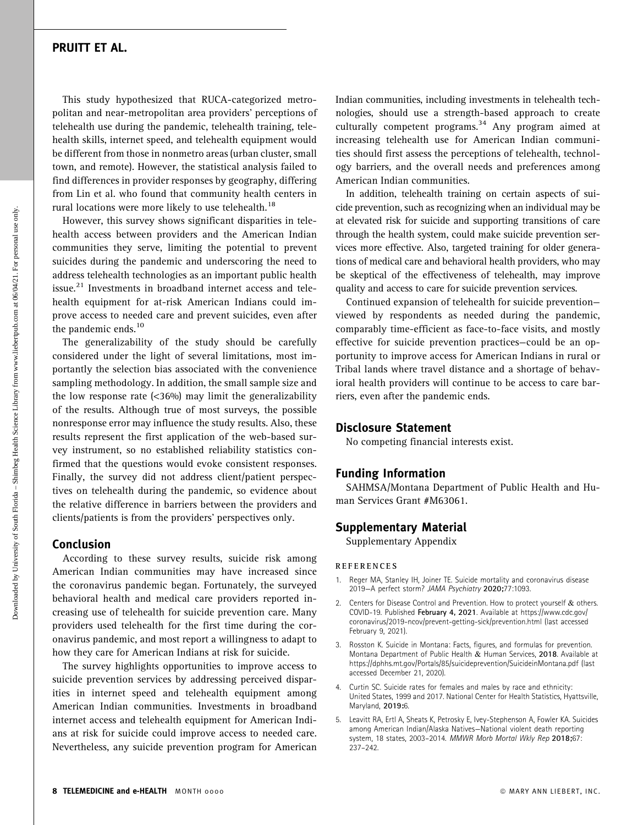This study hypothesized that RUCA-categorized metropolitan and near-metropolitan area providers' perceptions of telehealth use during the pandemic, telehealth training, telehealth skills, internet speed, and telehealth equipment would be different from those in nonmetro areas (urban cluster, small town, and remote). However, the statistical analysis failed to find differences in provider responses by geography, differing from Lin et al. who found that community health centers in rural locations were more likely to use [telehealth.](https://telehealth.18)<sup>18</sup>

However, this survey shows significant disparities in telehealth access between providers and the American Indian communities they serve, limiting the potential to prevent suicides during the pandemic and underscoring the need to address telehealth technologies as an important public health [issue.](https://issue.21) $^{21}$  Investments in broadband internet access and telehealth equipment for at-risk American Indians could improve access to needed care and prevent suicides, even after the pandemic ends. $10$ 

The generalizability of the study should be carefully considered under the light of several limitations, most importantly the selection bias associated with the convenience sampling methodology. In addition, the small sample size and the low response rate  $($ <36%) may limit the generalizability of the results. Although true of most surveys, the possible nonresponse error may influence the study results. Also, these results represent the first application of the web-based survey instrument, so no established reliability statistics confirmed that the questions would evoke consistent responses. Finally, the survey did not address client/patient perspectives on telehealth during the pandemic, so evidence about the relative difference in barriers between the providers and clients/patients is from the providers' perspectives only.

### Conclusion

According to these survey results, suicide risk among American Indian communities may have increased since the coronavirus pandemic began. Fortunately, the surveyed behavioral health and medical care providers reported increasing use of telehealth for suicide prevention care. Many providers used telehealth for the first time during the coronavirus pandemic, and most report a willingness to adapt to how they care for American Indians at risk for suicide.

The survey highlights opportunities to improve access to suicide prevention services by addressing perceived disparities in internet speed and telehealth equipment among American Indian communities. Investments in broadband internet access and telehealth equipment for American Indians at risk for suicide could improve access to needed care. Nevertheless, any suicide prevention program for American

Indian communities, including investments in telehealth technologies, should use a strength-based approach to create culturally competent programs.<sup>34</sup> Any program aimed at increasing telehealth use for American Indian communities should first assess the perceptions of telehealth, technology barriers, and the overall needs and preferences among American Indian communities.

In addition, telehealth training on certain aspects of suicide prevention, such as recognizing when an individual may be at elevated risk for suicide and supporting transitions of care through the health system, could make suicide prevention services more effective. Also, targeted training for older generations of medical care and behavioral health providers, who may be skeptical of the effectiveness of telehealth, may improve quality and access to care for suicide prevention services.

Continued expansion of telehealth for suicide prevention viewed by respondents as needed during the pandemic, comparably time-efficient as face-to-face visits, and mostly effective for suicide prevention practices—could be an opportunity to improve access for American Indians in rural or Tribal lands where travel distance and a shortage of behavioral health providers will continue to be access to care barriers, even after the pandemic ends.

### Disclosure Statement

No competing financial interests exist.

### Funding Information

SAHMSA/Montana Department of Public Health and Human Services Grant #M63061.

### Supplementary Material

Supplementary Appendix

### **REFERENCES**

- 1. Reger MA, Stanley IH, Joiner TE. Suicide mortality and coronavirus disease 2019—A perfect storm? JAMA Psychiatry 2020;77:1093.
- Centers for Disease Control and Prevention. How to protect yourself & others. COVID-19. Published February 4, 2021. Available at [https://www.cdc.gov/](https://www.cdc.gov/coronavirus/2019-ncov/prevent-getting-sick/prevention.html) [coronavirus/2019-ncov/prevent-getting-sick/prevention.html](https://www.cdc.gov/coronavirus/2019-ncov/prevent-getting-sick/prevention.html) (last accessed February 9, 2021).
- 3. Rosston K. Suicide in Montana: Facts, figures, and formulas for prevention. Montana Department of Public Health & Human Services, 2018. Available at <https://dphhs.mt.gov/Portals/85/suicideprevention/SuicideinMontana.pdf> (last accessed December 21, 2020).
- Curtin SC. Suicide rates for females and males by race and ethnicity: United States, 1999 and 2017. National Center for Health Statistics, Hyattsville, Maryland, 2019:6.
- 5. Leavitt RA, Ertl A, Sheats K, Petrosky E, Ivey-Stephenson A, Fowler KA. Suicides among American Indian/Alaska Natives—National violent death reporting system, 18 states, 2003–2014. MMWR Morb Mortal Wkly Rep 2018;67: 237–242.